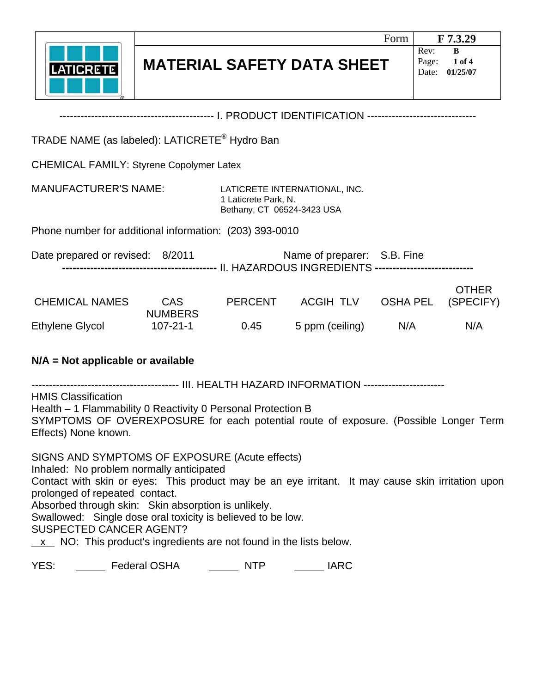|                                                                 | F 7.3.29<br>Form             |                                                                                     |                                   |                 |                        |                                    |
|-----------------------------------------------------------------|------------------------------|-------------------------------------------------------------------------------------|-----------------------------------|-----------------|------------------------|------------------------------------|
| <b>ATICRETE</b>                                                 |                              |                                                                                     | <b>MATERIAL SAFETY DATA SHEET</b> |                 | Rev:<br>Page:<br>Date: | <sup>B</sup><br>1 of 4<br>01/25/07 |
|                                                                 |                              |                                                                                     |                                   |                 |                        |                                    |
| TRADE NAME (as labeled): LATICRETE <sup>®</sup> Hydro Ban       |                              |                                                                                     |                                   |                 |                        |                                    |
| <b>CHEMICAL FAMILY: Styrene Copolymer Latex</b>                 |                              |                                                                                     |                                   |                 |                        |                                    |
| <b>MANUFACTURER'S NAME:</b>                                     |                              | LATICRETE INTERNATIONAL, INC.<br>1 Laticrete Park, N.<br>Bethany, CT 06524-3423 USA |                                   |                 |                        |                                    |
| Phone number for additional information: (203) 393-0010         |                              |                                                                                     |                                   |                 |                        |                                    |
| Date prepared or revised: 8/2011<br>Name of preparer: S.B. Fine |                              |                                                                                     |                                   |                 |                        |                                    |
| <b>CHEMICAL NAMES</b>                                           | <b>CAS</b><br><b>NUMBERS</b> | <b>PERCENT</b>                                                                      | ACGIH TLV                         | <b>OSHA PEL</b> |                        | <b>OTHER</b><br>(SPECIFY)          |
| Ethylene Glycol                                                 | $107 - 21 - 1$               | 0.45                                                                                | 5 ppm (ceiling)                   | N/A             |                        | N/A                                |

## **N/A = Not applicable or available**

------------------------------------------ III. HEALTH HAZARD INFORMATION -----------------------

HMIS Classification

Health – 1 Flammability 0 Reactivity 0 Personal Protection B

SYMPTOMS OF OVEREXPOSURE for each potential route of exposure. (Possible Longer Term Effects) None known.

SIGNS AND SYMPTOMS OF EXPOSURE (Acute effects)

Inhaled: No problem normally anticipated

Contact with skin or eyes: This product may be an eye irritant. It may cause skin irritation upon prolonged of repeated contact.

Absorbed through skin: Skin absorption is unlikely.

Swallowed: Single dose oral toxicity is believed to be low.

SUSPECTED CANCER AGENT?

x NO: This product's ingredients are not found in the lists below.

YES: \_\_\_\_\_\_\_\_ Federal OSHA \_\_\_\_\_\_\_\_ NTP \_\_\_\_\_\_\_ IARC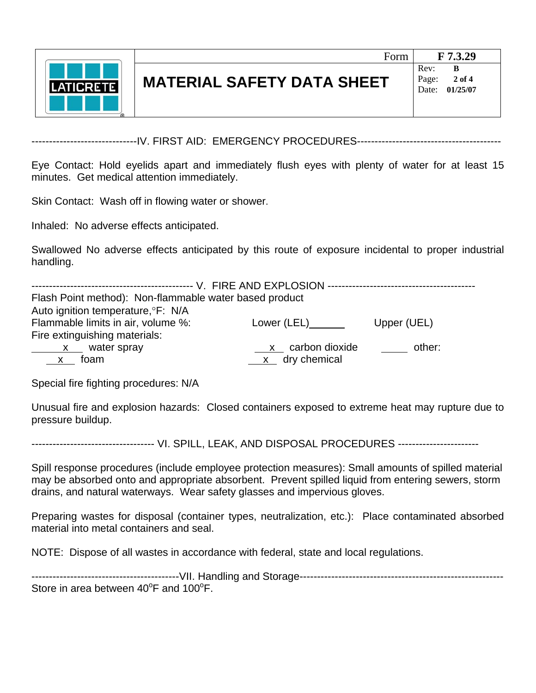

Page: **2 of 4**  Date: **01/25/07** 

------------------------------IV. FIRST AID: EMERGENCY PROCEDURES-----------------------------------------

Eye Contact: Hold eyelids apart and immediately flush eyes with plenty of water for at least 15 minutes. Get medical attention immediately.

Skin Contact: Wash off in flowing water or shower.

Inhaled: No adverse effects anticipated.

Swallowed No adverse effects anticipated by this route of exposure incidental to proper industrial handling.

| Flash Point method): Non-flammable water based product                                                             |                                |             |
|--------------------------------------------------------------------------------------------------------------------|--------------------------------|-------------|
| Auto ignition temperature, <sup>o</sup> F: N/A                                                                     |                                |             |
| Flammable limits in air, volume %:                                                                                 | Lower (LEL)                    | Upper (UEL) |
| Fire extinguishing materials:                                                                                      |                                |             |
| water spray<br>$\overline{\phantom{a}}$ $\overline{\phantom{a}}$ $\overline{\phantom{a}}$ $\overline{\phantom{a}}$ | carbon dioxide<br>$\mathsf{X}$ | other:      |
| foam<br>$\mathsf{X}$                                                                                               | x dry chemical                 |             |

Special fire fighting procedures: N/A

Unusual fire and explosion hazards: Closed containers exposed to extreme heat may rupture due to pressure buildup.

----------------------------------- VI. SPILL, LEAK, AND DISPOSAL PROCEDURES -----------------------

Spill response procedures (include employee protection measures): Small amounts of spilled material may be absorbed onto and appropriate absorbent. Prevent spilled liquid from entering sewers, storm drains, and natural waterways. Wear safety glasses and impervious gloves.

Preparing wastes for disposal (container types, neutralization, etc.): Place contaminated absorbed material into metal containers and seal.

NOTE: Dispose of all wastes in accordance with federal, state and local regulations.

------------------------------------------VII. Handling and Storage---------------------------------------------------------- Store in area between  $40^{\circ}$ F and  $100^{\circ}$ F.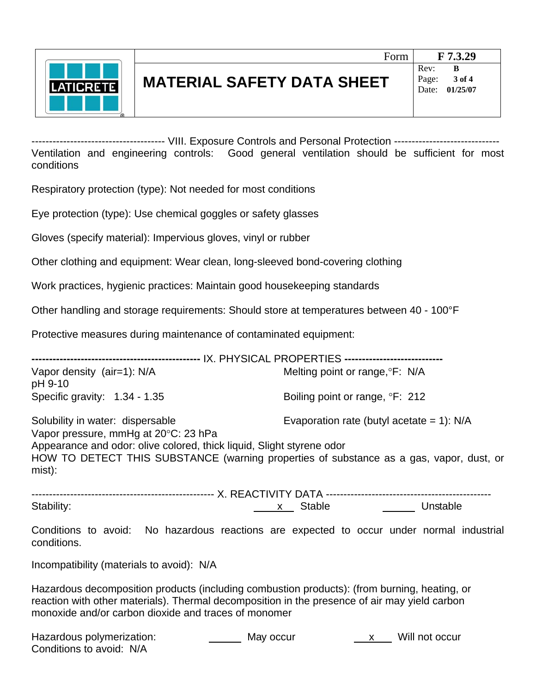

## **MATERIAL SAFETY DATA SHEET**

------------------------ VIII. Exposure Controls and Personal Protection --------------------Ventilation and engineering controls: Good general ventilation should be sufficient for most conditions

Respiratory protection (type): Not needed for most conditions

Eye protection (type): Use chemical goggles or safety glasses

Gloves (specify material): Impervious gloves, vinyl or rubber

Other clothing and equipment: Wear clean, long-sleeved bond-covering clothing

Work practices, hygienic practices: Maintain good housekeeping standards

Other handling and storage requirements: Should store at temperatures between 40 - 100°F

Protective measures during maintenance of contaminated equipment:

| Vapor density (air=1): N/A<br>pH 9-10                                                                                                                                                                                                                 |                         | Melting point or range, <sup>o</sup> F: N/A  |  |  |  |
|-------------------------------------------------------------------------------------------------------------------------------------------------------------------------------------------------------------------------------------------------------|-------------------------|----------------------------------------------|--|--|--|
| Specific gravity: 1.34 - 1.35                                                                                                                                                                                                                         |                         | Boiling point or range, °F: 212              |  |  |  |
| Solubility in water: dispersable<br>Vapor pressure, mmHg at 20°C: 23 hPa                                                                                                                                                                              |                         | Evaporation rate (butyl acetate = $1$ ): N/A |  |  |  |
| Appearance and odor: olive colored, thick liquid, Slight styrene odor<br>HOW TO DETECT THIS SUBSTANCE (warning properties of substance as a gas, vapor, dust, or<br>mist):                                                                            |                         |                                              |  |  |  |
|                                                                                                                                                                                                                                                       |                         |                                              |  |  |  |
| Stability:                                                                                                                                                                                                                                            | <u>x</u> Stable _______ | Unstable                                     |  |  |  |
| Conditions to avoid: No hazardous reactions are expected to occur under normal industrial<br>conditions.                                                                                                                                              |                         |                                              |  |  |  |
| Incompatibility (materials to avoid): N/A                                                                                                                                                                                                             |                         |                                              |  |  |  |
| Hazardous decomposition products (including combustion products): (from burning, heating, or<br>reaction with other materials). Thermal decomposition in the presence of air may yield carbon<br>monoxide and/or carbon dioxide and traces of monomer |                         |                                              |  |  |  |
| Hazardous polymerization:<br>Conditions to avoid: N/A                                                                                                                                                                                                 | May occur               | Will not occur<br>$\mathsf{X}$               |  |  |  |